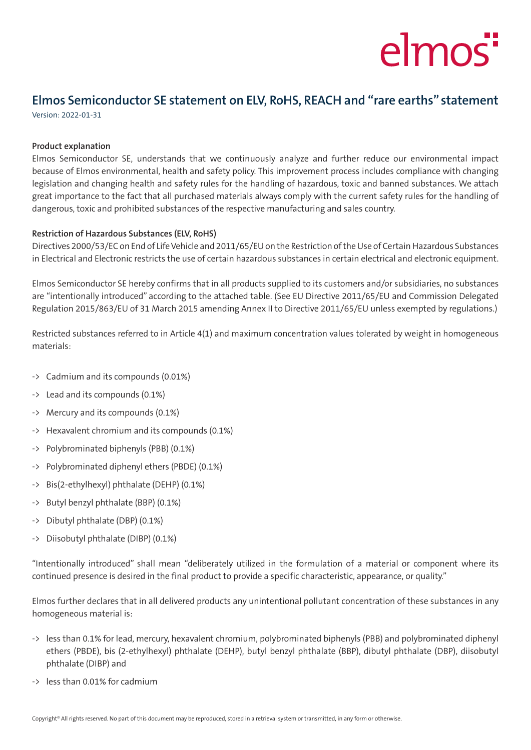## elmos"

### **Elmos Semiconductor SE statement on ELV, RoHS, REACH and "rare earths" statement**

Version: 2022-01-31

#### **Product explanation**

Elmos Semiconductor SE, understands that we continuously analyze and further reduce our environmental impact because of Elmos environmental, health and safety policy. This improvement process includes compliance with changing legislation and changing health and safety rules for the handling of hazardous, toxic and banned substances. We attach great importance to the fact that all purchased materials always comply with the current safety rules for the handling of dangerous, toxic and prohibited substances of the respective manufacturing and sales country.

### **Restriction of Hazardous Substances (ELV, RoHS)**

Directives 2000/53/EC on End of Life Vehicle and 2011/65/EU on the Restriction of the Use of Certain Hazardous Substances in Electrical and Electronic restricts the use of certain hazardous substances in certain electrical and electronic equipment.

Elmos Semiconductor SE hereby confirms that in all products supplied to its customers and/or subsidiaries, no substances are "intentionally introduced" according to the attached table. (See EU Directive 2011/65/EU and Commission Delegated Regulation 2015/863/EU of 31 March 2015 amending Annex II to Directive 2011/65/EU unless exempted by regulations.)

Restricted substances referred to in Article 4(1) and maximum concentration values tolerated by weight in homogeneous materials:

- -> Cadmium and its compounds (0.01%)
- -> Lead and its compounds (0.1%)
- -> Mercury and its compounds (0.1%)
- -> Hexavalent chromium and its compounds (0.1%)
- -> Polybrominated biphenyls (PBB) (0.1%)
- -> Polybrominated diphenyl ethers (PBDE) (0.1%)
- -> Bis(2-ethylhexyl) phthalate (DEHP) (0.1%)
- -> Butyl benzyl phthalate (BBP) (0.1%)
- -> Dibutyl phthalate (DBP) (0.1%)
- -> Diisobutyl phthalate (DIBP) (0.1%)

"Intentionally introduced" shall mean "deliberately utilized in the formulation of a material or component where its continued presence is desired in the final product to provide a specific characteristic, appearance, or quality."

Elmos further declares that in all delivered products any unintentional pollutant concentration of these substances in any homogeneous material is:

- -> less than 0.1% for lead, mercury, hexavalent chromium, polybrominated biphenyls (PBB) and polybrominated diphenyl ethers (PBDE), bis (2-ethylhexyl) phthalate (DEHP), butyl benzyl phthalate (BBP), dibutyl phthalate (DBP), diisobutyl phthalate (DIBP) and
- -> less than 0.01% for cadmium